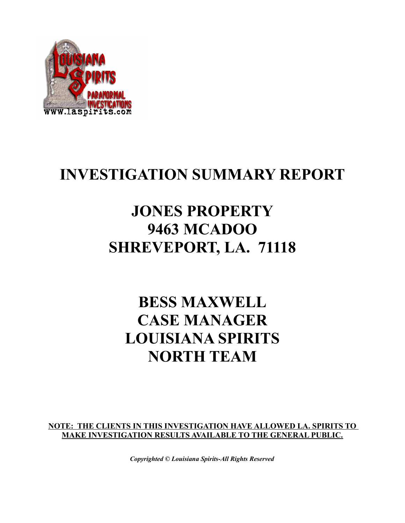

### **INVESTIGATION SUMMARY REPORT**

# **JONES PROPERTY 9463 MCADOO SHREVEPORT, LA. 71118**

# **BESS MAXWELL CASE MANAGER LOUISIANA SPIRITS NORTH TEAM**

**NOTE: THE CLIENTS IN THIS INVESTIGATION HAVE ALLOWED LA. SPIRITS TO MAKE INVESTIGATION RESULTS AVAILABLE TO THE GENERAL PUBLIC.**

*Copyrighted © Louisiana Spirits-All Rights Reserved*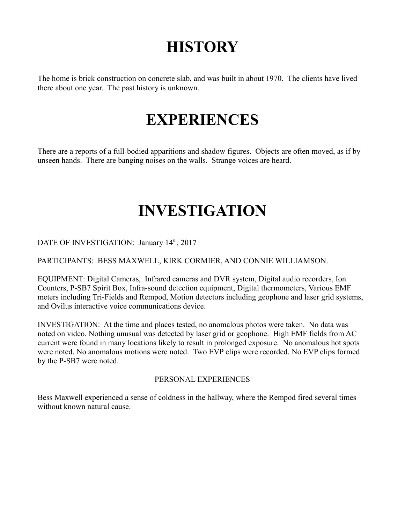# **HISTORY**

The home is brick construction on concrete slab, and was built in about 1970. The clients have lived there about one year. The past history is unknown.

## **EXPERIENCES**

There are a reports of a full-bodied apparitions and shadow figures. Objects are often moved, as if by unseen hands. There are banging noises on the walls. Strange voices are heard.

### **INVESTIGATION**

DATE OF INVESTIGATION: January 14<sup>th</sup>, 2017

PARTICIPANTS: BESS MAXWELL, KIRK CORMIER, AND CONNIE WILLIAMSON.

EQUIPMENT: Digital Cameras, Infrared cameras and DVR system, Digital audio recorders, Ion Counters, P-SB7 Spirit Box, Infra-sound detection equipment, Digital thermometers, Various EMF meters including Tri-Fields and Rempod, Motion detectors including geophone and laser grid systems, and Ovilus interactive voice communications device.

INVESTIGATION: At the time and places tested, no anomalous photos were taken. No data was noted on video. Nothing unusual was detected by laser grid or geophone. High EMF fields from AC current were found in many locations likely to result in prolonged exposure. No anomalous hot spots were noted. No anomalous motions were noted. Two EVP clips were recorded. No EVP clips formed by the P-SB7 were noted.

#### PERSONAL EXPERIENCES

Bess Maxwell experienced a sense of coldness in the hallway, where the Rempod fired several times without known natural cause.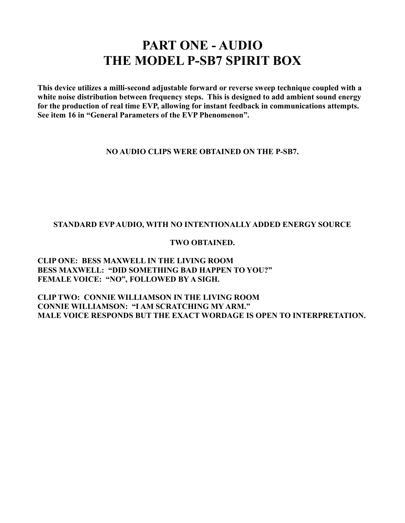### **PART ONE - AUDIO THE MODEL P-SB7 SPIRIT BOX**

**This device utilizes a milli-second adjustable forward or reverse sweep technique coupled with a white noise distribution between frequency steps. This is designed to add ambient sound energy for the production of real time EVP, allowing for instant feedback in communications attempts. See item 16 in "General Parameters of the EVP Phenomenon".** 

#### **NO AUDIO CLIPS WERE OBTAINED ON THE P-SB7.**

#### **STANDARD EVP AUDIO, WITH NO INTENTIONALLY ADDED ENERGY SOURCE**

#### **TWO OBTAINED.**

#### **CLIP ONE: BESS MAXWELL IN THE LIVING ROOM BESS MAXWELL: "DID SOMETHING BAD HAPPEN TO YOU?" FEMALE VOICE: "NO", FOLLOWED BY A SIGH.**

**CLIP TWO: CONNIE WILLIAMSON IN THE LIVING ROOM CONNIE WILLIAMSON: "I AM SCRATCHING MY ARM." MALE VOICE RESPONDS BUT THE EXACT WORDAGE IS OPEN TO INTERPRETATION.**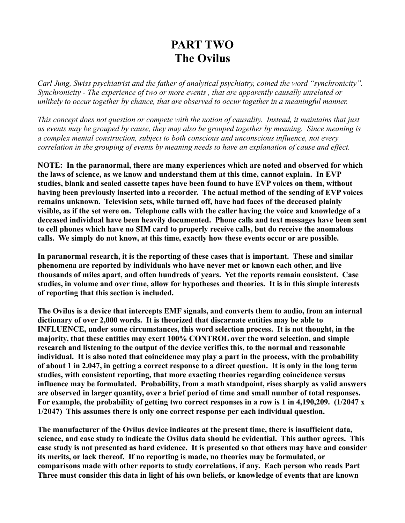### **PART TWO The Ovilus**

*Carl Jung, Swiss psychiatrist and the father of analytical psychiatry, coined the word "synchronicity". Synchronicity - The experience of two or more events , that are apparently causally unrelated or unlikely to occur together by chance, that are observed to occur together in a meaningful manner.*

*This concept does not question or compete with the notion of causality. Instead, it maintains that just as events may be grouped by cause, they may also be grouped together by meaning. Since meaning is a complex mental construction, subject to both conscious and unconscious influence, not every correlation in the grouping of events by meaning needs to have an explanation of cause and effect.*

**NOTE: In the paranormal, there are many experiences which are noted and observed for which the laws of science, as we know and understand them at this time, cannot explain. In EVP studies, blank and sealed cassette tapes have been found to have EVP voices on them, without having been previously inserted into a recorder. The actual method of the sending of EVP voices remains unknown. Television sets, while turned off, have had faces of the deceased plainly visible, as if the set were on. Telephone calls with the caller having the voice and knowledge of a deceased individual have been heavily documented. Phone calls and text messages have been sent to cell phones which have no SIM card to properly receive calls, but do receive the anomalous calls. We simply do not know, at this time, exactly how these events occur or are possible.**

**In paranormal research, it is the reporting of these cases that is important. These and similar phenomena are reported by individuals who have never met or known each other, and live thousands of miles apart, and often hundreds of years. Yet the reports remain consistent. Case studies, in volume and over time, allow for hypotheses and theories. It is in this simple interests of reporting that this section is included.**

**The Ovilus is a device that intercepts EMF signals, and converts them to audio, from an internal dictionary of over 2,000 words. It is theorized that discarnate entities may be able to INFLUENCE, under some circumstances, this word selection process. It is not thought, in the majority, that these entities may exert 100% CONTROL over the word selection, and simple research and listening to the output of the device verifies this, to the normal and reasonable individual. It is also noted that coincidence may play a part in the process, with the probability of about 1 in 2.047, in getting a correct response to a direct question. It is only in the long term studies, with consistent reporting, that more exacting theories regarding coincidence versus influence may be formulated. Probability, from a math standpoint, rises sharply as valid answers are observed in larger quantity, over a brief period of time and small number of total responses. For example, the probability of getting two correct responses in a row is 1 in 4,190,209. (1/2047 x 1/2047) This assumes there is only one correct response per each individual question.**

**The manufacturer of the Ovilus device indicates at the present time, there is insufficient data, science, and case study to indicate the Ovilus data should be evidential. This author agrees. This case study is not presented as hard evidence. It is presented so that others may have and consider its merits, or lack thereof. If no reporting is made, no theories may be formulated, or comparisons made with other reports to study correlations, if any. Each person who reads Part Three must consider this data in light of his own beliefs, or knowledge of events that are known**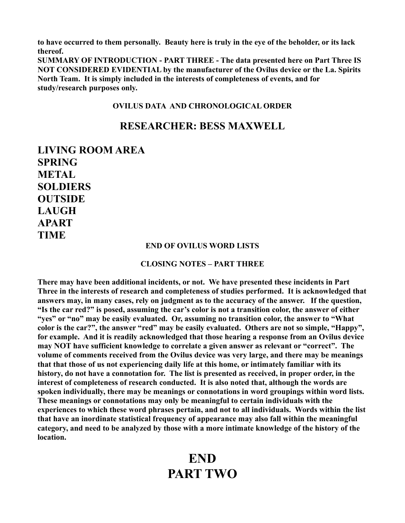**to have occurred to them personally. Beauty here is truly in the eye of the beholder, or its lack thereof.**

**SUMMARY OF INTRODUCTION - PART THREE - The data presented here on Part Three IS NOT CONSIDERED EVIDENTIAL by the manufacturer of the Ovilus device or the La. Spirits North Team. It is simply included in the interests of completeness of events, and for study/research purposes only.**

#### **OVILUS DATA AND CHRONOLOGICAL ORDER**

#### **RESEARCHER: BESS MAXWELL**

**LIVING ROOM AREA SPRING METAL SOLDIERS OUTSIDE LAUGH APART TIME**

#### **END OF OVILUS WORD LISTS**

#### **CLOSING NOTES – PART THREE**

**There may have been additional incidents, or not. We have presented these incidents in Part Three in the interests of research and completeness of studies performed. It is acknowledged that answers may, in many cases, rely on judgment as to the accuracy of the answer. If the question, "Is the car red?" is posed, assuming the car's color is not a transition color, the answer of either "yes" or "no" may be easily evaluated. Or, assuming no transition color, the answer to "What color is the car?", the answer "red" may be easily evaluated. Others are not so simple, "Happy", for example. And it is readily acknowledged that those hearing a response from an Ovilus device may NOT have sufficient knowledge to correlate a given answer as relevant or "correct". The volume of comments received from the Ovilus device was very large, and there may be meanings that that those of us not experiencing daily life at this home, or intimately familiar with its history, do not have a connotation for. The list is presented as received, in proper order, in the interest of completeness of research conducted. It is also noted that, although the words are spoken individually, there may be meanings or connotations in word groupings within word lists. These meanings or connotations may only be meaningful to certain individuals with the experiences to which these word phrases pertain, and not to all individuals. Words within the list that have an inordinate statistical frequency of appearance may also fall within the meaningful category, and need to be analyzed by those with a more intimate knowledge of the history of the location.**

### **END PART TWO**